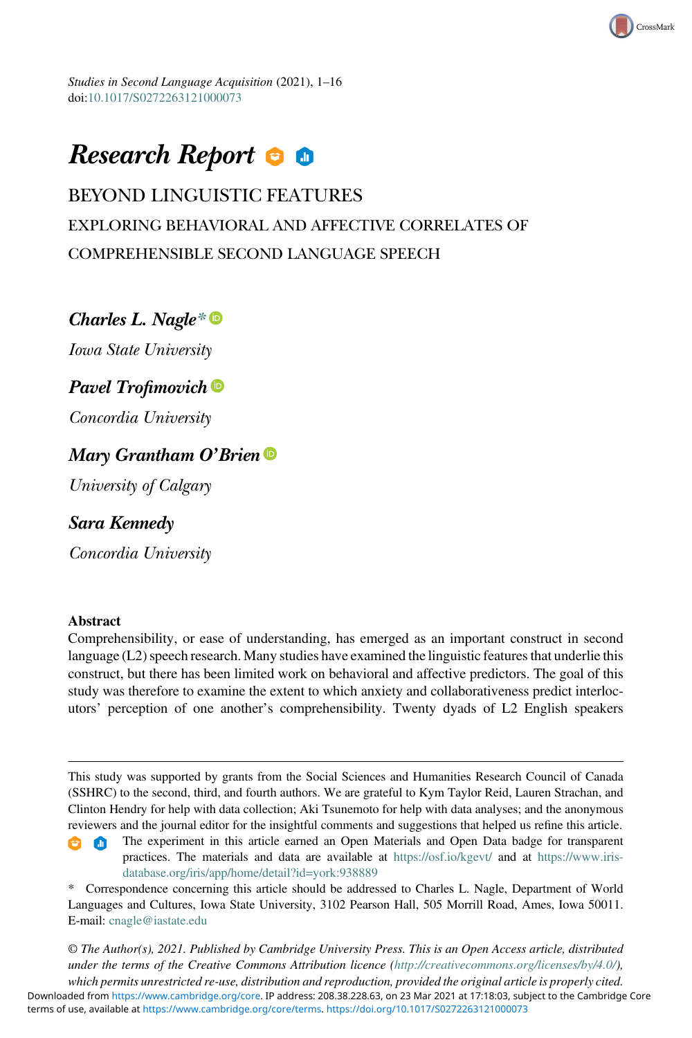Studies in Second Language Acquisition (2021), 1–16 doi:[10.1017/S0272263121000073](https://doi.org/10.1017/S0272263121000073)

# Research Report **O**

# BEYOND LINGUISTIC FEATURES EXPLORING BEHAVIORAL AND AFFECTIVE CORRELATES OF COMPREHENSIBLE SECOND LANGUAGE SPEECH

CrossMark

# Charles L. Nagle[\\*](#page-0-0)<sup>®</sup>

Iowa State University

# Pavel Trofimovich<sup>®</sup>

Concordia University

# Mary Grantham O'Brien

University of Calgary

# Sara Kennedy

Concordia University

# Abstract

Comprehensibility, or ease of understanding, has emerged as an important construct in second language (L2) speech research. Many studies have examined the linguistic features that underlie this construct, but there has been limited work on behavioral and affective predictors. The goal of this study was therefore to examine the extent to which anxiety and collaborativeness predict interlocutors' perception of one another's comprehensibility. Twenty dyads of L2 English speakers

This study was supported by grants from the Social Sciences and Humanities Research Council of Canada (SSHRC) to the second, third, and fourth authors. We are grateful to Kym Taylor Reid, Lauren Strachan, and Clinton Hendry for help with data collection; Aki Tsunemoto for help with data analyses; and the anonymous reviewers and the journal editor for the insightful comments and suggestions that helped us refine this article.

The experiment in this article earned an Open Materials and Open Data badge for transparent a m practices. The materials and data are available at <https://osf.io/kgevt/> and at [https://www.iris](https://www.iris-database.org/iris/app/home/detail?id=york:938889)[database.org/iris/app/home/detail?id=york:938889](https://www.iris-database.org/iris/app/home/detail?id=york:938889)

<span id="page-0-0"></span>\* Correspondence concerning this article should be addressed to Charles L. Nagle, Department of World Languages and Cultures, Iowa State University, 3102 Pearson Hall, 505 Morrill Road, Ames, Iowa 50011. E-mail: [cnagle@iastate.edu](mailto:cnagle@iastate.edu)

© The Author(s), 2021. Published by Cambridge University Press. This is an Open Access article, distributed under the terms of the Creative Commons Attribution licence [\(http://creativecommons.org/licenses/by/4.0/\)](http://creativecommons.org/licenses/by/4.0/), which permits unrestricted re-use, distribution and reproduction, provided the original article is properly cited.

terms of use, available at [https://www.cambridge.org/core/terms.](https://www.cambridge.org/core/terms) <https://doi.org/10.1017/S0272263121000073> Downloaded from [https://www.cambridge.org/core.](https://www.cambridge.org/core) IP address: 208.38.228.63, on 23 Mar 2021 at 17:18:03, subject to the Cambridge Core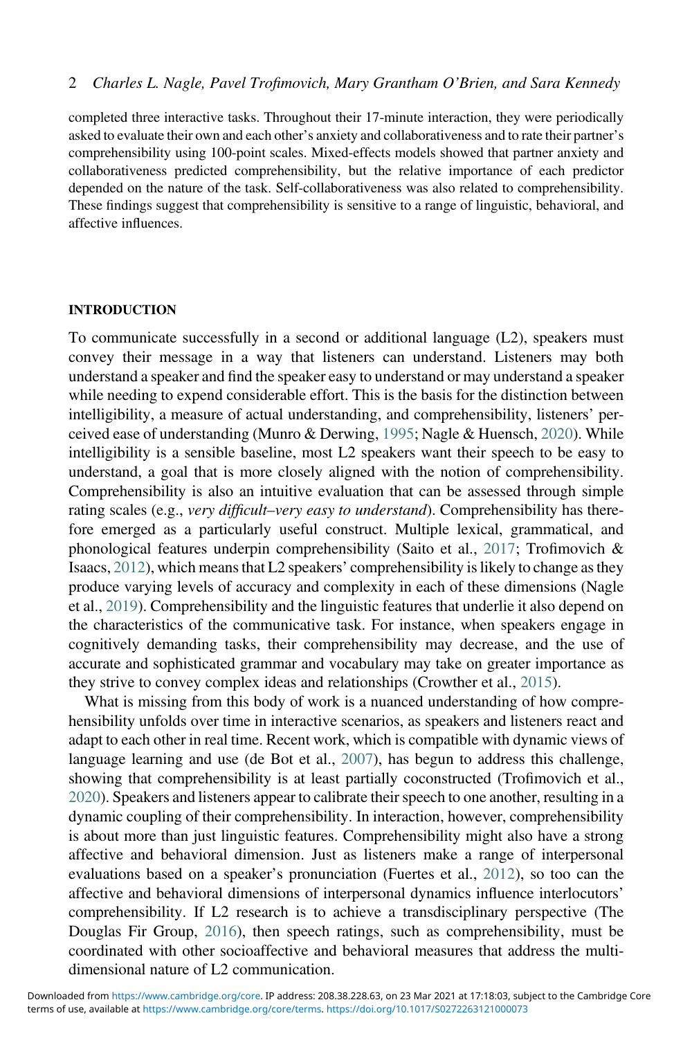completed three interactive tasks. Throughout their 17-minute interaction, they were periodically asked to evaluate their own and each other's anxiety and collaborativeness and to rate their partner's comprehensibility using 100-point scales. Mixed-effects models showed that partner anxiety and collaborativeness predicted comprehensibility, but the relative importance of each predictor depended on the nature of the task. Self-collaborativeness was also related to comprehensibility. These findings suggest that comprehensibility is sensitive to a range of linguistic, behavioral, and affective influences.

#### INTRODUCTION

To communicate successfully in a second or additional language (L2), speakers must convey their message in a way that listeners can understand. Listeners may both understand a speaker and find the speaker easy to understand or may understand a speaker while needing to expend considerable effort. This is the basis for the distinction between intelligibility, a measure of actual understanding, and comprehensibility, listeners' perceived ease of understanding (Munro & Derwing, [1995;](#page-14-0) Nagle & Huensch, [2020\)](#page-14-1). While intelligibility is a sensible baseline, most L2 speakers want their speech to be easy to understand, a goal that is more closely aligned with the notion of comprehensibility. Comprehensibility is also an intuitive evaluation that can be assessed through simple rating scales (e.g., *very difficult–very easy to understand*). Comprehensibility has therefore emerged as a particularly useful construct. Multiple lexical, grammatical, and phonological features underpin comprehensibility (Saito et al., [2017;](#page-15-0) Trofimovich & Isaacs, [2012\)](#page-15-1), which means that L2 speakers' comprehensibility is likely to change as they produce varying levels of accuracy and complexity in each of these dimensions (Nagle et al., [2019](#page-14-2)). Comprehensibility and the linguistic features that underlie it also depend on the characteristics of the communicative task. For instance, when speakers engage in cognitively demanding tasks, their comprehensibility may decrease, and the use of accurate and sophisticated grammar and vocabulary may take on greater importance as they strive to convey complex ideas and relationships (Crowther et al., [2015\)](#page-13-0).

What is missing from this body of work is a nuanced understanding of how comprehensibility unfolds over time in interactive scenarios, as speakers and listeners react and adapt to each other in real time. Recent work, which is compatible with dynamic views of language learning and use (de Bot et al., [2007\)](#page-13-1), has begun to address this challenge, showing that comprehensibility is at least partially coconstructed (Trofimovich et al., [2020\)](#page-15-2). Speakers and listeners appear to calibrate their speech to one another, resulting in a dynamic coupling of their comprehensibility. In interaction, however, comprehensibility is about more than just linguistic features. Comprehensibility might also have a strong affective and behavioral dimension. Just as listeners make a range of interpersonal evaluations based on a speaker's pronunciation (Fuertes et al., [2012\)](#page-14-3), so too can the affective and behavioral dimensions of interpersonal dynamics influence interlocutors' comprehensibility. If L2 research is to achieve a transdisciplinary perspective (The Douglas Fir Group, [2016\)](#page-15-3), then speech ratings, such as comprehensibility, must be coordinated with other socioaffective and behavioral measures that address the multidimensional nature of L2 communication.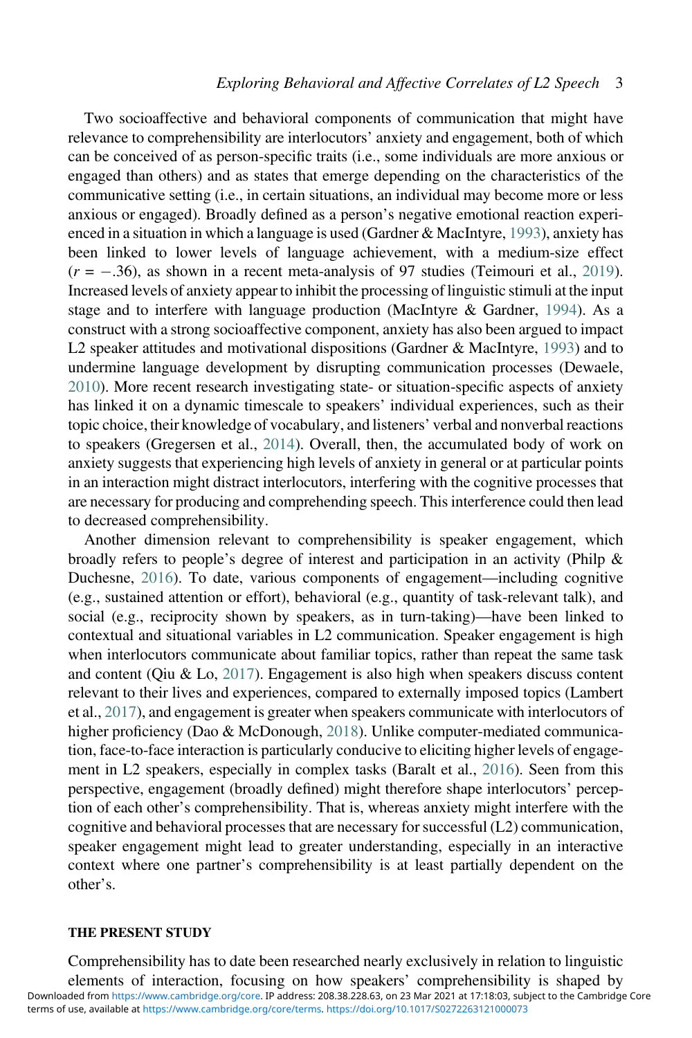Two socioaffective and behavioral components of communication that might have relevance to comprehensibility are interlocutors' anxiety and engagement, both of which can be conceived of as person-specific traits (i.e., some individuals are more anxious or engaged than others) and as states that emerge depending on the characteristics of the communicative setting (i.e., in certain situations, an individual may become more or less anxious or engaged). Broadly defined as a person's negative emotional reaction experienced in a situation in which a language is used (Gardner & MacIntyre, [1993\)](#page-14-4), anxiety has been linked to lower levels of language achievement, with a medium-size effect  $(r = -.36)$ , as shown in a recent meta-analysis of 97 studies (Teimouri et al., [2019\)](#page-15-4). Increased levels of anxiety appear to inhibit the processing of linguistic stimuli at the input stage and to interfere with language production (MacIntyre & Gardner, [1994](#page-14-5)). As a construct with a strong socioaffective component, anxiety has also been argued to impact L2 speaker attitudes and motivational dispositions (Gardner & MacIntyre, [1993\)](#page-14-4) and to undermine language development by disrupting communication processes (Dewaele, [2010](#page-13-2)). More recent research investigating state- or situation-specific aspects of anxiety has linked it on a dynamic timescale to speakers' individual experiences, such as their topic choice, their knowledge of vocabulary, and listeners' verbal and nonverbal reactions to speakers (Gregersen et al., [2014](#page-14-6)). Overall, then, the accumulated body of work on anxiety suggests that experiencing high levels of anxiety in general or at particular points in an interaction might distract interlocutors, interfering with the cognitive processes that are necessary for producing and comprehending speech. This interference could then lead to decreased comprehensibility.

Another dimension relevant to comprehensibility is speaker engagement, which broadly refers to people's degree of interest and participation in an activity (Philp & Duchesne, [2016](#page-14-7)). To date, various components of engagement—including cognitive (e.g., sustained attention or effort), behavioral (e.g., quantity of task-relevant talk), and social (e.g., reciprocity shown by speakers, as in turn-taking)—have been linked to contextual and situational variables in L2 communication. Speaker engagement is high when interlocutors communicate about familiar topics, rather than repeat the same task and content (Qiu & Lo, [2017\)](#page-14-8). Engagement is also high when speakers discuss content relevant to their lives and experiences, compared to externally imposed topics (Lambert et al., [2017](#page-14-9)), and engagement is greater when speakers communicate with interlocutors of higher proficiency (Dao & McDonough, [2018\)](#page-13-3). Unlike computer-mediated communication, face-to-face interaction is particularly conducive to eliciting higher levels of engagement in L2 speakers, especially in complex tasks (Baralt et al., [2016\)](#page-13-4). Seen from this perspective, engagement (broadly defined) might therefore shape interlocutors' perception of each other's comprehensibility. That is, whereas anxiety might interfere with the cognitive and behavioral processes that are necessary for successful (L2) communication, speaker engagement might lead to greater understanding, especially in an interactive context where one partner's comprehensibility is at least partially dependent on the other's.

#### THE PRESENT STUDY

Comprehensibility has to date been researched nearly exclusively in relation to linguistic elements of interaction, focusing on how speakers' comprehensibility is shaped by terms of use, available at [https://www.cambridge.org/core/terms.](https://www.cambridge.org/core/terms) <https://doi.org/10.1017/S0272263121000073> Downloaded from [https://www.cambridge.org/core.](https://www.cambridge.org/core) IP address: 208.38.228.63, on 23 Mar 2021 at 17:18:03, subject to the Cambridge Core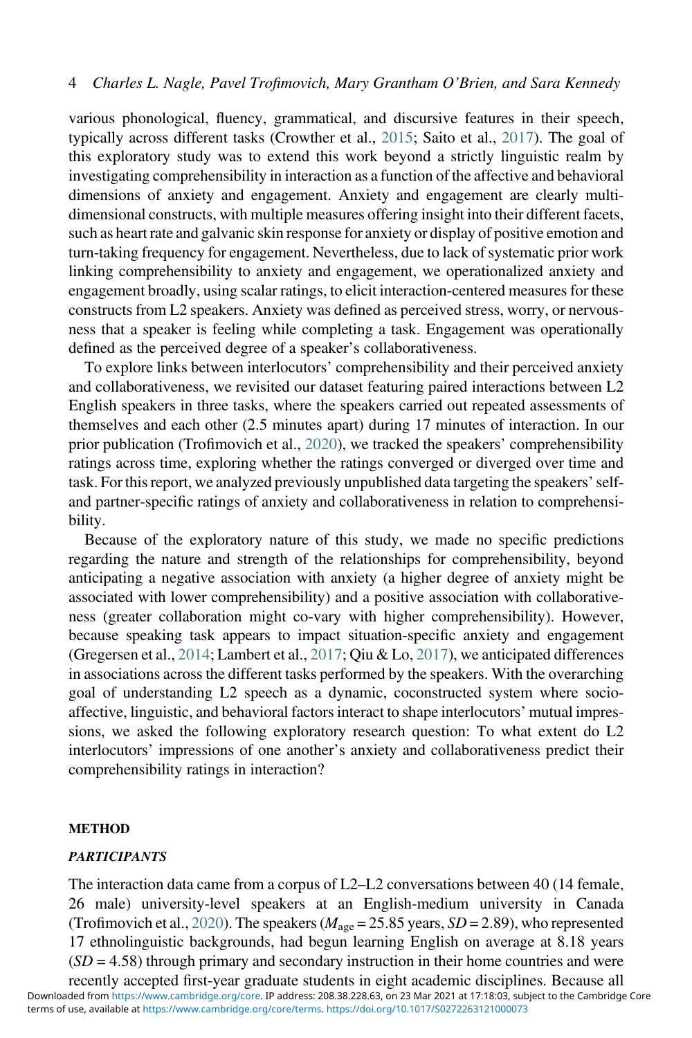various phonological, fluency, grammatical, and discursive features in their speech, typically across different tasks (Crowther et al., [2015](#page-13-0); Saito et al., [2017](#page-15-0)). The goal of this exploratory study was to extend this work beyond a strictly linguistic realm by investigating comprehensibility in interaction as a function of the affective and behavioral dimensions of anxiety and engagement. Anxiety and engagement are clearly multidimensional constructs, with multiple measures offering insight into their different facets, such as heart rate and galvanic skin response for anxiety or display of positive emotion and turn-taking frequency for engagement. Nevertheless, due to lack of systematic prior work linking comprehensibility to anxiety and engagement, we operationalized anxiety and engagement broadly, using scalar ratings, to elicit interaction-centered measures for these constructs from L2 speakers. Anxiety was defined as perceived stress, worry, or nervousness that a speaker is feeling while completing a task. Engagement was operationally defined as the perceived degree of a speaker's collaborativeness.

To explore links between interlocutors' comprehensibility and their perceived anxiety and collaborativeness, we revisited our dataset featuring paired interactions between L2 English speakers in three tasks, where the speakers carried out repeated assessments of themselves and each other (2.5 minutes apart) during 17 minutes of interaction. In our prior publication (Trofimovich et al., [2020](#page-15-2)), we tracked the speakers' comprehensibility ratings across time, exploring whether the ratings converged or diverged over time and task. For this report, we analyzed previously unpublished data targeting the speakers' selfand partner-specific ratings of anxiety and collaborativeness in relation to comprehensibility.

Because of the exploratory nature of this study, we made no specific predictions regarding the nature and strength of the relationships for comprehensibility, beyond anticipating a negative association with anxiety (a higher degree of anxiety might be associated with lower comprehensibility) and a positive association with collaborativeness (greater collaboration might co-vary with higher comprehensibility). However, because speaking task appears to impact situation-specific anxiety and engagement (Gregersen et al., [2014](#page-14-6); Lambert et al., [2017;](#page-14-9) Qiu & Lo, [2017\)](#page-14-8), we anticipated differences in associations across the different tasks performed by the speakers. With the overarching goal of understanding L2 speech as a dynamic, coconstructed system where socioaffective, linguistic, and behavioral factors interact to shape interlocutors' mutual impressions, we asked the following exploratory research question: To what extent do L2 interlocutors' impressions of one another's anxiety and collaborativeness predict their comprehensibility ratings in interaction?

#### **METHOD**

### **PARTICIPANTS**

The interaction data came from a corpus of L2–L2 conversations between 40 (14 female, 26 male) university-level speakers at an English-medium university in Canada (Trofimovich et al., [2020\)](#page-15-2). The speakers ( $M_{\text{age}} = 25.85$  years,  $SD = 2.89$ ), who represented 17 ethnolinguistic backgrounds, had begun learning English on average at 8.18 years  $(SD = 4.58)$  through primary and secondary instruction in their home countries and were recently accepted first-year graduate students in eight academic disciplines. Because all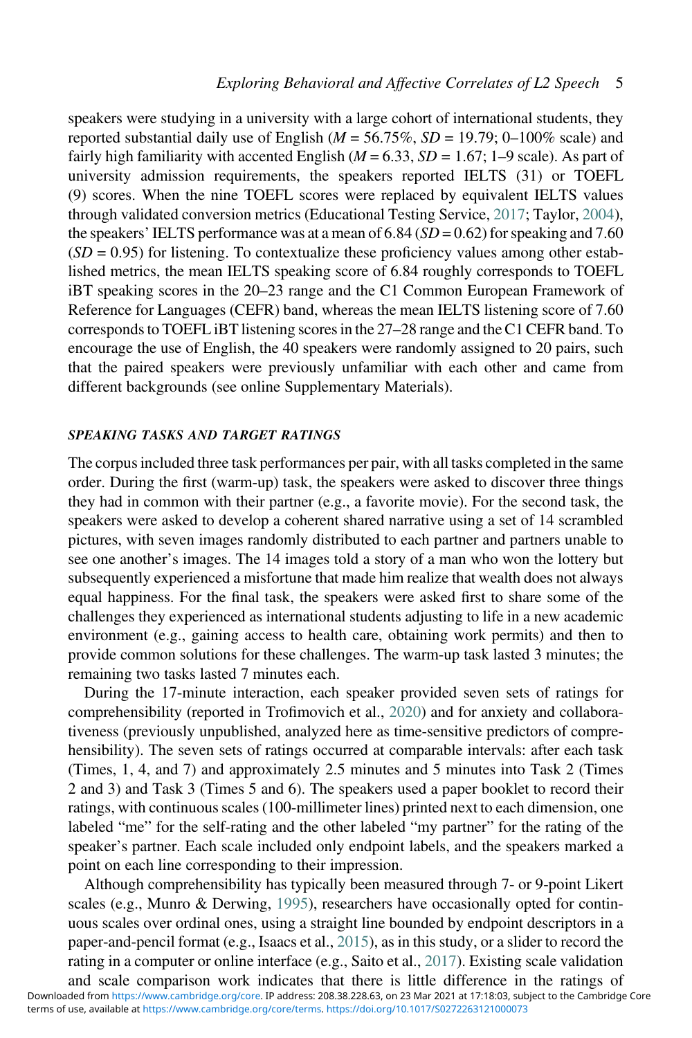speakers were studying in a university with a large cohort of international students, they reported substantial daily use of English ( $M = 56.75\%$ ,  $SD = 19.79$ ; 0–100% scale) and fairly high familiarity with accented English ( $M = 6.33$ ,  $SD = 1.67$ ; 1–9 scale). As part of university admission requirements, the speakers reported IELTS (31) or TOEFL (9) scores. When the nine TOEFL scores were replaced by equivalent IELTS values through validated conversion metrics (Educational Testing Service, [2017;](#page-14-10) Taylor, [2004\)](#page-15-5), the speakers' IELTS performance was at a mean of  $6.84$  ( $SD = 0.62$ ) for speaking and 7.60  $(SD = 0.95)$  for listening. To contextualize these proficiency values among other established metrics, the mean IELTS speaking score of 6.84 roughly corresponds to TOEFL iBT speaking scores in the 20–23 range and the C1 Common European Framework of Reference for Languages (CEFR) band, whereas the mean IELTS listening score of 7.60 corresponds to TOEFL iBT listening scores in the 27–28 range and the C1 CEFR band. To encourage the use of English, the 40 speakers were randomly assigned to 20 pairs, such that the paired speakers were previously unfamiliar with each other and came from different backgrounds (see online Supplementary Materials).

#### SPEAKING TASKS AND TARGET RATINGS

The corpus included three task performances per pair, with all tasks completed in the same order. During the first (warm-up) task, the speakers were asked to discover three things they had in common with their partner (e.g., a favorite movie). For the second task, the speakers were asked to develop a coherent shared narrative using a set of 14 scrambled pictures, with seven images randomly distributed to each partner and partners unable to see one another's images. The 14 images told a story of a man who won the lottery but subsequently experienced a misfortune that made him realize that wealth does not always equal happiness. For the final task, the speakers were asked first to share some of the challenges they experienced as international students adjusting to life in a new academic environment (e.g., gaining access to health care, obtaining work permits) and then to provide common solutions for these challenges. The warm-up task lasted 3 minutes; the remaining two tasks lasted 7 minutes each.

During the 17-minute interaction, each speaker provided seven sets of ratings for comprehensibility (reported in Trofimovich et al., [2020\)](#page-15-2) and for anxiety and collaborativeness (previously unpublished, analyzed here as time-sensitive predictors of comprehensibility). The seven sets of ratings occurred at comparable intervals: after each task (Times, 1, 4, and 7) and approximately 2.5 minutes and 5 minutes into Task 2 (Times 2 and 3) and Task 3 (Times 5 and 6). The speakers used a paper booklet to record their ratings, with continuous scales (100-millimeter lines) printed next to each dimension, one labeled "me" for the self-rating and the other labeled "my partner" for the rating of the speaker's partner. Each scale included only endpoint labels, and the speakers marked a point on each line corresponding to their impression.

Although comprehensibility has typically been measured through 7- or 9-point Likert scales (e.g., Munro & Derwing, [1995](#page-14-0)), researchers have occasionally opted for continuous scales over ordinal ones, using a straight line bounded by endpoint descriptors in a paper-and-pencil format (e.g., Isaacs et al., [2015](#page-14-11)), as in this study, or a slider to record the rating in a computer or online interface (e.g., Saito et al., [2017](#page-15-0)). Existing scale validation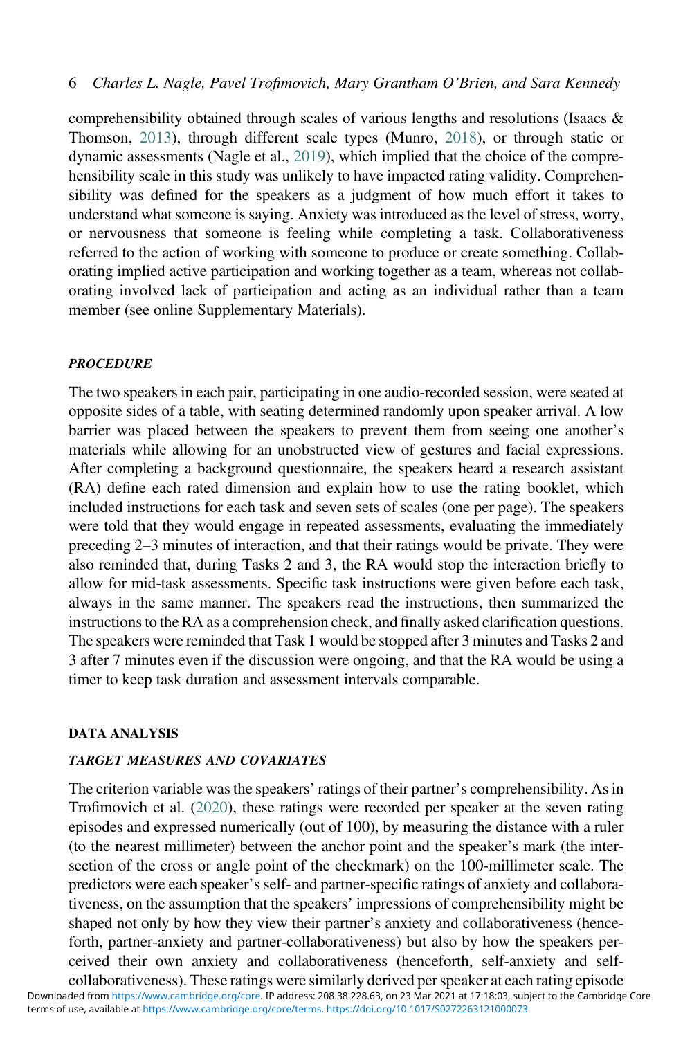comprehensibility obtained through scales of various lengths and resolutions (Isaacs & Thomson, [2013](#page-14-12)), through different scale types (Munro, [2018\)](#page-14-13), or through static or dynamic assessments (Nagle et al., [2019](#page-14-2)), which implied that the choice of the comprehensibility scale in this study was unlikely to have impacted rating validity. Comprehensibility was defined for the speakers as a judgment of how much effort it takes to understand what someone is saying. Anxiety was introduced as the level of stress, worry, or nervousness that someone is feeling while completing a task. Collaborativeness referred to the action of working with someone to produce or create something. Collaborating implied active participation and working together as a team, whereas not collaborating involved lack of participation and acting as an individual rather than a team member (see online Supplementary Materials).

# **PROCEDURE**

The two speakers in each pair, participating in one audio-recorded session, were seated at opposite sides of a table, with seating determined randomly upon speaker arrival. A low barrier was placed between the speakers to prevent them from seeing one another's materials while allowing for an unobstructed view of gestures and facial expressions. After completing a background questionnaire, the speakers heard a research assistant (RA) define each rated dimension and explain how to use the rating booklet, which included instructions for each task and seven sets of scales (one per page). The speakers were told that they would engage in repeated assessments, evaluating the immediately preceding 2–3 minutes of interaction, and that their ratings would be private. They were also reminded that, during Tasks 2 and 3, the RA would stop the interaction briefly to allow for mid-task assessments. Specific task instructions were given before each task, always in the same manner. The speakers read the instructions, then summarized the instructions to the RA as a comprehension check, and finally asked clarification questions. The speakers were reminded that Task 1 would be stopped after 3 minutes and Tasks 2 and 3 after 7 minutes even if the discussion were ongoing, and that the RA would be using a timer to keep task duration and assessment intervals comparable.

#### DATA ANALYSIS

# TARGET MEASURES AND COVARIATES

The criterion variable was the speakers' ratings of their partner's comprehensibility. As in Trofimovich et al. [\(2020](#page-15-2)), these ratings were recorded per speaker at the seven rating episodes and expressed numerically (out of 100), by measuring the distance with a ruler (to the nearest millimeter) between the anchor point and the speaker's mark (the intersection of the cross or angle point of the checkmark) on the 100-millimeter scale. The predictors were each speaker's self- and partner-specific ratings of anxiety and collaborativeness, on the assumption that the speakers' impressions of comprehensibility might be shaped not only by how they view their partner's anxiety and collaborativeness (henceforth, partner-anxiety and partner-collaborativeness) but also by how the speakers perceived their own anxiety and collaborativeness (henceforth, self-anxiety and selfcollaborativeness). These ratings were similarly derived per speaker at each rating episode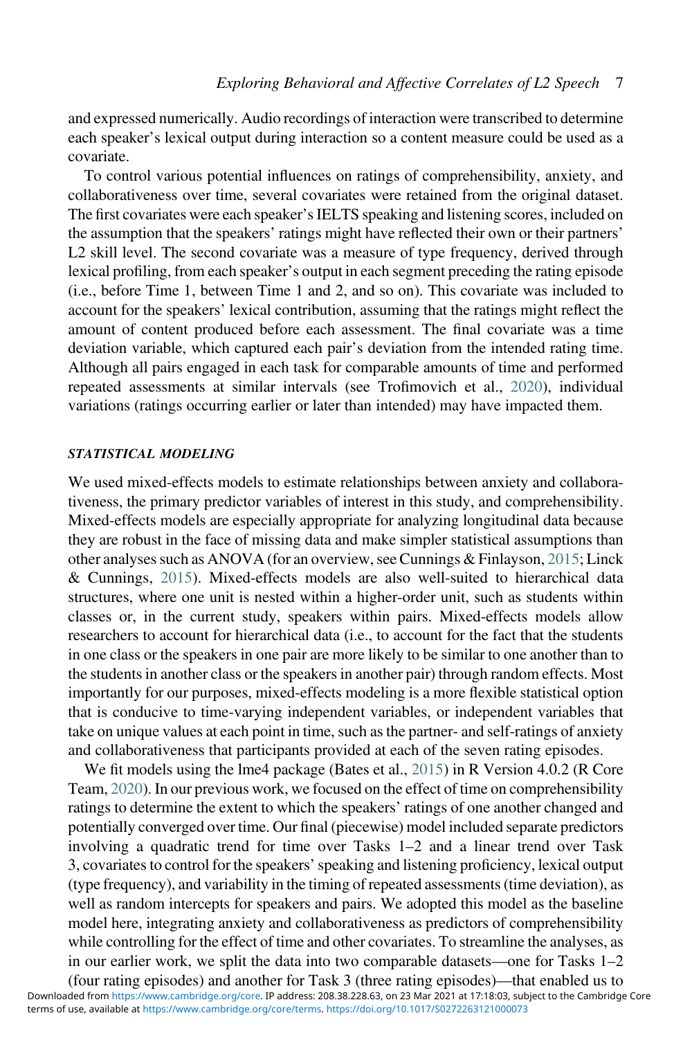and expressed numerically. Audio recordings of interaction were transcribed to determine each speaker's lexical output during interaction so a content measure could be used as a covariate.

To control various potential influences on ratings of comprehensibility, anxiety, and collaborativeness over time, several covariates were retained from the original dataset. The first covariates were each speaker's IELTS speaking and listening scores, included on the assumption that the speakers' ratings might have reflected their own or their partners' L2 skill level. The second covariate was a measure of type frequency, derived through lexical profiling, from each speaker's output in each segment preceding the rating episode (i.e., before Time 1, between Time 1 and 2, and so on). This covariate was included to account for the speakers' lexical contribution, assuming that the ratings might reflect the amount of content produced before each assessment. The final covariate was a time deviation variable, which captured each pair's deviation from the intended rating time. Although all pairs engaged in each task for comparable amounts of time and performed repeated assessments at similar intervals (see Trofimovich et al., [2020\)](#page-15-2), individual variations (ratings occurring earlier or later than intended) may have impacted them.

# STATISTICAL MODELING

We used mixed-effects models to estimate relationships between anxiety and collaborativeness, the primary predictor variables of interest in this study, and comprehensibility. Mixed-effects models are especially appropriate for analyzing longitudinal data because they are robust in the face of missing data and make simpler statistical assumptions than other analyses such as ANOVA (for an overview, see Cunnings & Finlayson, [2015;](#page-13-5) Linck & Cunnings, [2015](#page-14-14)). Mixed-effects models are also well-suited to hierarchical data structures, where one unit is nested within a higher-order unit, such as students within classes or, in the current study, speakers within pairs. Mixed-effects models allow researchers to account for hierarchical data (i.e., to account for the fact that the students in one class or the speakers in one pair are more likely to be similar to one another than to the students in another class or the speakers in another pair) through random effects. Most importantly for our purposes, mixed-effects modeling is a more flexible statistical option that is conducive to time-varying independent variables, or independent variables that take on unique values at each point in time, such as the partner- and self-ratings of anxiety and collaborativeness that participants provided at each of the seven rating episodes.

We fit models using the lme4 package (Bates et al., [2015\)](#page-13-6) in R Version 4.0.2 (R Core Team, [2020](#page-14-15)). In our previous work, we focused on the effect of time on comprehensibility ratings to determine the extent to which the speakers' ratings of one another changed and potentially converged over time. Our final (piecewise) model included separate predictors involving a quadratic trend for time over Tasks 1–2 and a linear trend over Task 3, covariates to control for the speakers'speaking and listening proficiency, lexical output (type frequency), and variability in the timing of repeated assessments (time deviation), as well as random intercepts for speakers and pairs. We adopted this model as the baseline model here, integrating anxiety and collaborativeness as predictors of comprehensibility while controlling for the effect of time and other covariates. To streamline the analyses, as in our earlier work, we split the data into two comparable datasets—one for Tasks 1–2

(four rating episodes) and another for Task 3 (three rating episodes)—that enabled us to terms of use, available at [https://www.cambridge.org/core/terms.](https://www.cambridge.org/core/terms) <https://doi.org/10.1017/S0272263121000073> Downloaded from [https://www.cambridge.org/core.](https://www.cambridge.org/core) IP address: 208.38.228.63, on 23 Mar 2021 at 17:18:03, subject to the Cambridge Core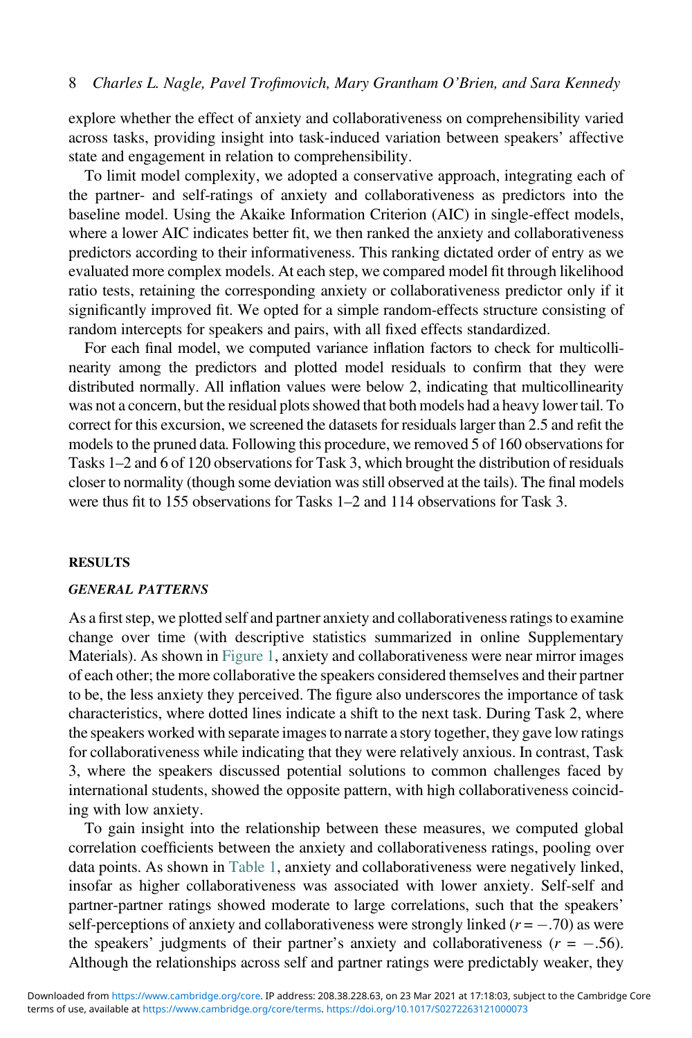explore whether the effect of anxiety and collaborativeness on comprehensibility varied across tasks, providing insight into task-induced variation between speakers' affective state and engagement in relation to comprehensibility.

To limit model complexity, we adopted a conservative approach, integrating each of the partner- and self-ratings of anxiety and collaborativeness as predictors into the baseline model. Using the Akaike Information Criterion (AIC) in single-effect models, where a lower AIC indicates better fit, we then ranked the anxiety and collaborativeness predictors according to their informativeness. This ranking dictated order of entry as we evaluated more complex models. At each step, we compared model fit through likelihood ratio tests, retaining the corresponding anxiety or collaborativeness predictor only if it significantly improved fit. We opted for a simple random-effects structure consisting of random intercepts for speakers and pairs, with all fixed effects standardized.

For each final model, we computed variance inflation factors to check for multicollinearity among the predictors and plotted model residuals to confirm that they were distributed normally. All inflation values were below 2, indicating that multicollinearity was not a concern, but the residual plots showed that both models had a heavy lower tail. To correct for this excursion, we screened the datasets for residuals larger than 2.5 and refit the models to the pruned data. Following this procedure, we removed 5 of 160 observations for Tasks 1–2 and 6 of 120 observations for Task 3, which brought the distribution of residuals closer to normality (though some deviation was still observed at the tails). The final models were thus fit to 155 observations for Tasks 1–2 and 114 observations for Task 3.

#### RESULTS

#### GENERAL PATTERNS

As a first step, we plotted self and partner anxiety and collaborativeness ratings to examine change over time (with descriptive statistics summarized in online Supplementary Materials). As shown in [Figure 1](#page-8-0), anxiety and collaborativeness were near mirror images of each other; the more collaborative the speakers considered themselves and their partner to be, the less anxiety they perceived. The figure also underscores the importance of task characteristics, where dotted lines indicate a shift to the next task. During Task 2, where the speakers worked with separate images to narrate a story together, they gave low ratings for collaborativeness while indicating that they were relatively anxious. In contrast, Task 3, where the speakers discussed potential solutions to common challenges faced by international students, showed the opposite pattern, with high collaborativeness coinciding with low anxiety.

To gain insight into the relationship between these measures, we computed global correlation coefficients between the anxiety and collaborativeness ratings, pooling over data points. As shown in [Table 1,](#page-8-1) anxiety and collaborativeness were negatively linked, insofar as higher collaborativeness was associated with lower anxiety. Self-self and partner-partner ratings showed moderate to large correlations, such that the speakers' self-perceptions of anxiety and collaborativeness were strongly linked  $(r = -.70)$  as were the speakers' judgments of their partner's anxiety and collaborativeness ( $r = -.56$ ). Although the relationships across self and partner ratings were predictably weaker, they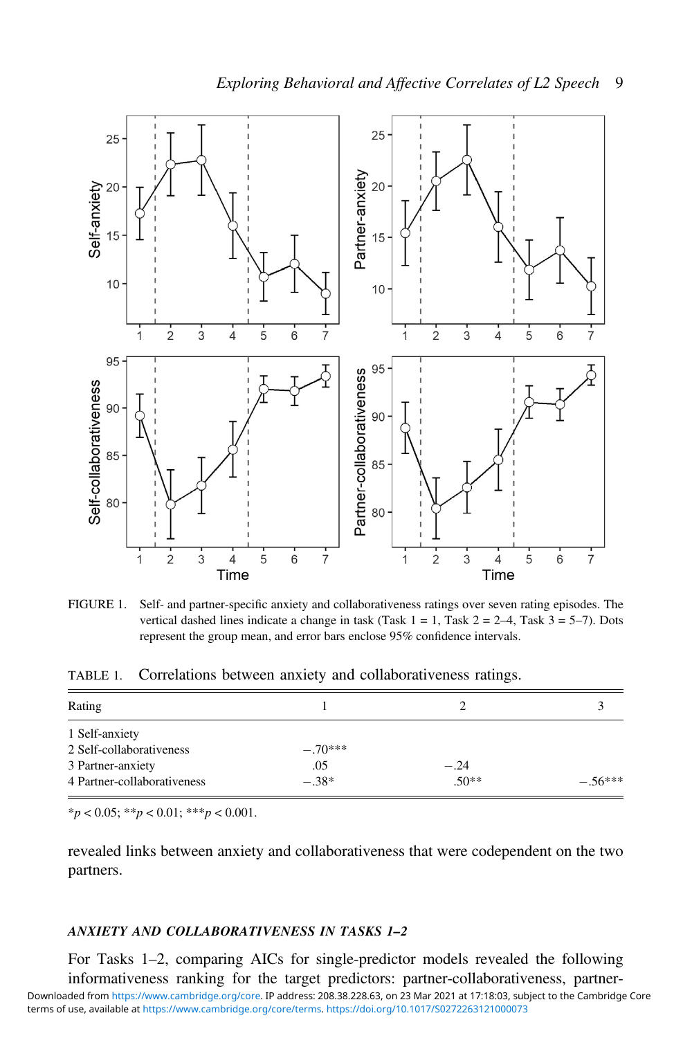<span id="page-8-0"></span>

FIGURE 1. Self- and partner-specific anxiety and collaborativeness ratings over seven rating episodes. The vertical dashed lines indicate a change in task (Task  $1 = 1$ , Task  $2 = 2-4$ , Task  $3 = 5-7$ ). Dots represent the group mean, and error bars enclose 95% confidence intervals.

<span id="page-8-1"></span>TABLE 1. Correlations between anxiety and collaborativeness ratings.

| Rating                      |           |        |          |
|-----------------------------|-----------|--------|----------|
|                             |           |        |          |
| 1 Self-anxiety              |           |        |          |
| 2 Self-collaborativeness    | $-.70***$ |        |          |
| 3 Partner-anxiety           | .05       | $-.24$ |          |
| 4 Partner-collaborativeness | $-.38*$   | $50**$ | $-56***$ |

 $*_{p}$  < 0.05;  $*_{p}$  < 0.01;  $*_{p}$  < 0.001.

revealed links between anxiety and collaborativeness that were codependent on the two partners.

# ANXIETY AND COLLABORATIVENESS IN TASKS 1–2

For Tasks 1–2, comparing AICs for single-predictor models revealed the following informativeness ranking for the target predictors: partner-collaborativeness, partnerterms of use, available at [https://www.cambridge.org/core/terms.](https://www.cambridge.org/core/terms) <https://doi.org/10.1017/S0272263121000073> Downloaded from [https://www.cambridge.org/core.](https://www.cambridge.org/core) IP address: 208.38.228.63, on 23 Mar 2021 at 17:18:03, subject to the Cambridge Core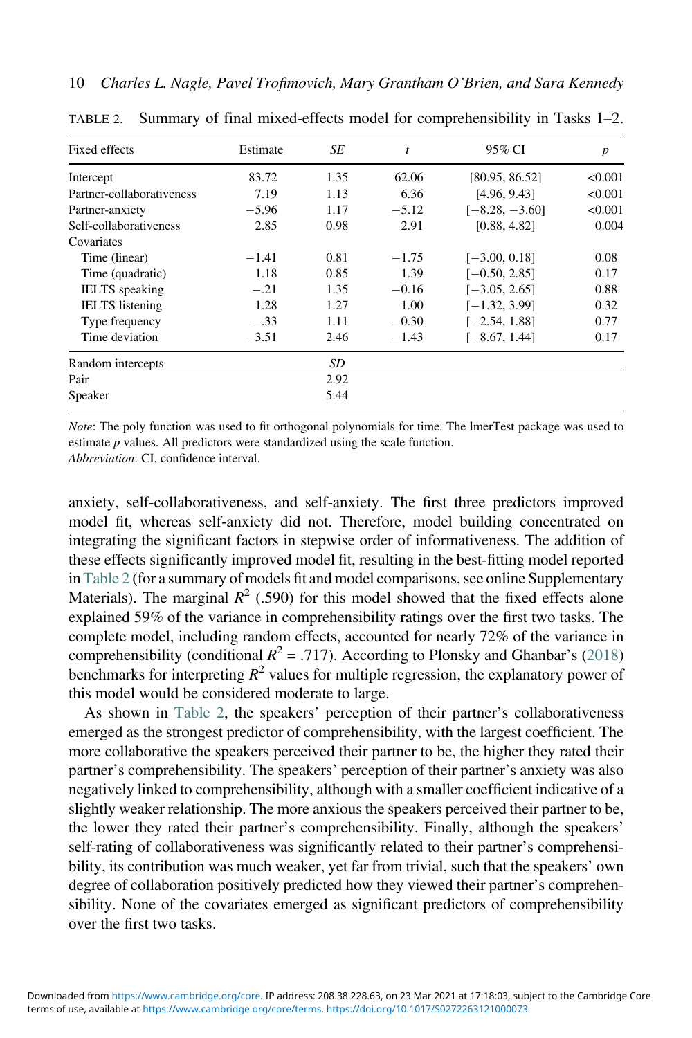| <b>Fixed effects</b>      | Estimate | SE   | t       | 95% CI           | $\boldsymbol{p}$ |
|---------------------------|----------|------|---------|------------------|------------------|
| Intercept                 | 83.72    | 1.35 | 62.06   | [80.95, 86.52]   | < 0.001          |
| Partner-collaborativeness | 7.19     | 1.13 | 6.36    | [4.96, 9.43]     | < 0.001          |
| Partner-anxiety           | $-5.96$  | 1.17 | $-5.12$ | $[-8.28, -3.60]$ | < 0.001          |
| Self-collaborativeness    | 2.85     | 0.98 | 2.91    | [0.88, 4.82]     | 0.004            |
| Covariates                |          |      |         |                  |                  |
| Time (linear)             | $-1.41$  | 0.81 | $-1.75$ | $[-3.00, 0.18]$  | 0.08             |
| Time (quadratic)          | 1.18     | 0.85 | 1.39    | $[-0.50, 2.85]$  | 0.17             |
| <b>IELTS</b> speaking     | $-.21$   | 1.35 | $-0.16$ | $[-3.05, 2.65]$  | 0.88             |
| <b>IELTS</b> listening    | 1.28     | 1.27 | 1.00    | $[-1.32, 3.99]$  | 0.32             |
| Type frequency            | $-.33$   | 1.11 | $-0.30$ | $[-2.54, 1.88]$  | 0.77             |
| Time deviation            | $-3.51$  | 2.46 | $-1.43$ | $[-8.67, 1.44]$  | 0.17             |
| Random intercepts         |          | SD   |         |                  |                  |
| Pair                      |          | 2.92 |         |                  |                  |
| Speaker                   |          | 5.44 |         |                  |                  |

<span id="page-9-0"></span>TABLE 2. Summary of final mixed-effects model for comprehensibility in Tasks 1–2.

Note: The poly function was used to fit orthogonal polynomials for time. The lmerTest package was used to estimate p values. All predictors were standardized using the scale function. Abbreviation: CI, confidence interval.

anxiety, self-collaborativeness, and self-anxiety. The first three predictors improved model fit, whereas self-anxiety did not. Therefore, model building concentrated on integrating the significant factors in stepwise order of informativeness. The addition of these effects significantly improved model fit, resulting in the best-fitting model reported in [Table 2](#page-9-0) (for a summary of models fit and model comparisons, see online Supplementary Materials). The marginal  $R^2$  (.590) for this model showed that the fixed effects alone explained 59% of the variance in comprehensibility ratings over the first two tasks. The complete model, including random effects, accounted for nearly 72% of the variance in comprehensibility (conditional  $R^2 = .717$ ). According to Plonsky and Ghanbar's [\(2018](#page-14-16)) benchmarks for interpreting  $R^2$  values for multiple regression, the explanatory power of

this model would be considered moderate to large. As shown in [Table 2](#page-9-0), the speakers' perception of their partner's collaborativeness emerged as the strongest predictor of comprehensibility, with the largest coefficient. The more collaborative the speakers perceived their partner to be, the higher they rated their partner's comprehensibility. The speakers' perception of their partner's anxiety was also negatively linked to comprehensibility, although with a smaller coefficient indicative of a slightly weaker relationship. The more anxious the speakers perceived their partner to be, the lower they rated their partner's comprehensibility. Finally, although the speakers' self-rating of collaborativeness was significantly related to their partner's comprehensibility, its contribution was much weaker, yet far from trivial, such that the speakers' own degree of collaboration positively predicted how they viewed their partner's comprehensibility. None of the covariates emerged as significant predictors of comprehensibility over the first two tasks.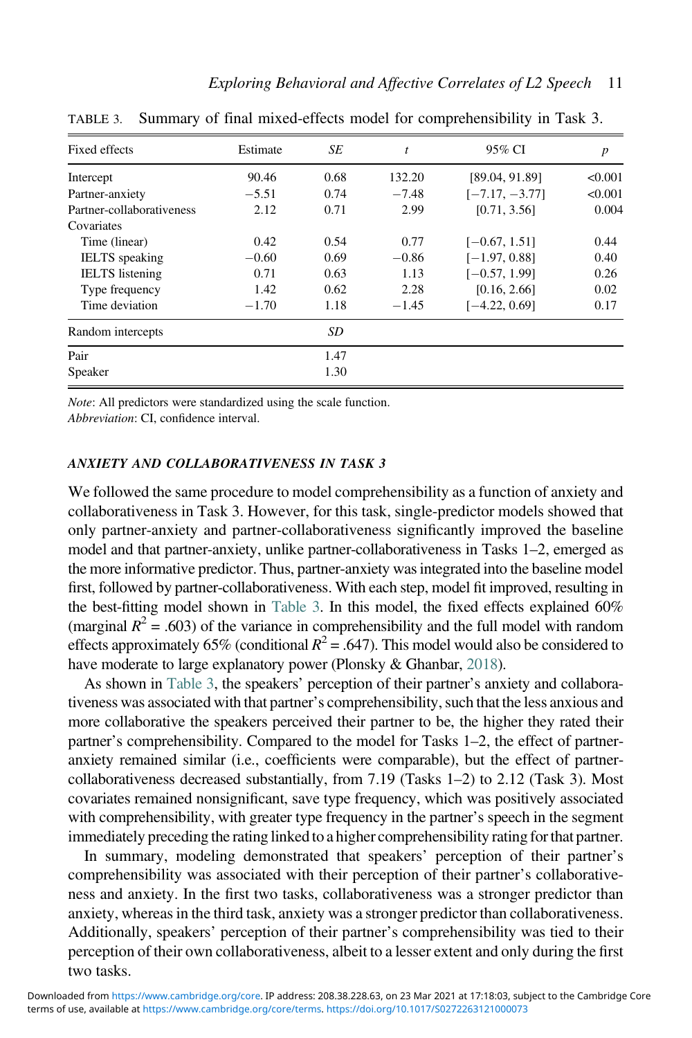| Fixed effects             | Estimate | SE   | t       | 95% CI           | $\boldsymbol{p}$ |
|---------------------------|----------|------|---------|------------------|------------------|
| Intercept                 | 90.46    | 0.68 | 132.20  | [89.04, 91.89]   | < 0.001          |
| Partner-anxiety           | $-5.51$  | 0.74 | $-7.48$ | $[-7.17, -3.77]$ | < 0.001          |
| Partner-collaborativeness | 2.12     | 0.71 | 2.99    | [0.71, 3.56]     | 0.004            |
| Covariates                |          |      |         |                  |                  |
| Time (linear)             | 0.42     | 0.54 | 0.77    | $[-0.67, 1.51]$  | 0.44             |
| <b>IELTS</b> speaking     | $-0.60$  | 0.69 | $-0.86$ | $[-1.97, 0.88]$  | 0.40             |
| <b>IELTS</b> listening    | 0.71     | 0.63 | 1.13    | $[-0.57, 1.99]$  | 0.26             |
| Type frequency            | 1.42     | 0.62 | 2.28    | [0.16, 2.66]     | 0.02             |
| Time deviation            | $-1.70$  | 1.18 | $-1.45$ | $[-4.22, 0.69]$  | 0.17             |
| Random intercepts         |          | SD   |         |                  |                  |
| Pair                      |          | 1.47 |         |                  |                  |
| Speaker                   |          | 1.30 |         |                  |                  |

<span id="page-10-0"></span>TABLE 3. Summary of final mixed-effects model for comprehensibility in Task 3.

Note: All predictors were standardized using the scale function.

Abbreviation: CI, confidence interval.

# ANXIETY AND COLLABORATIVENESS IN TASK 3

We followed the same procedure to model comprehensibility as a function of anxiety and collaborativeness in Task 3. However, for this task, single-predictor models showed that only partner-anxiety and partner-collaborativeness significantly improved the baseline model and that partner-anxiety, unlike partner-collaborativeness in Tasks 1–2, emerged as the more informative predictor. Thus, partner-anxiety was integrated into the baseline model first, followed by partner-collaborativeness. With each step, model fit improved, resulting in the best-fitting model shown in [Table 3.](#page-10-0) In this model, the fixed effects explained 60% (marginal  $R^2$  = .603) of the variance in comprehensibility and the full model with random effects approximately 65% (conditional  $R^2 = .647$ ). This model would also be considered to have moderate to large explanatory power (Plonsky & Ghanbar, [2018\)](#page-14-16).

As shown in [Table 3,](#page-10-0) the speakers' perception of their partner's anxiety and collaborativeness was associated with that partner's comprehensibility, such that the less anxious and more collaborative the speakers perceived their partner to be, the higher they rated their partner's comprehensibility. Compared to the model for Tasks 1–2, the effect of partneranxiety remained similar (i.e., coefficients were comparable), but the effect of partnercollaborativeness decreased substantially, from 7.19 (Tasks 1–2) to 2.12 (Task 3). Most covariates remained nonsignificant, save type frequency, which was positively associated with comprehensibility, with greater type frequency in the partner's speech in the segment immediately preceding the rating linked to a higher comprehensibility rating for that partner.

In summary, modeling demonstrated that speakers' perception of their partner's comprehensibility was associated with their perception of their partner's collaborativeness and anxiety. In the first two tasks, collaborativeness was a stronger predictor than anxiety, whereas in the third task, anxiety was a stronger predictor than collaborativeness. Additionally, speakers' perception of their partner's comprehensibility was tied to their perception of their own collaborativeness, albeit to a lesser extent and only during the first two tasks.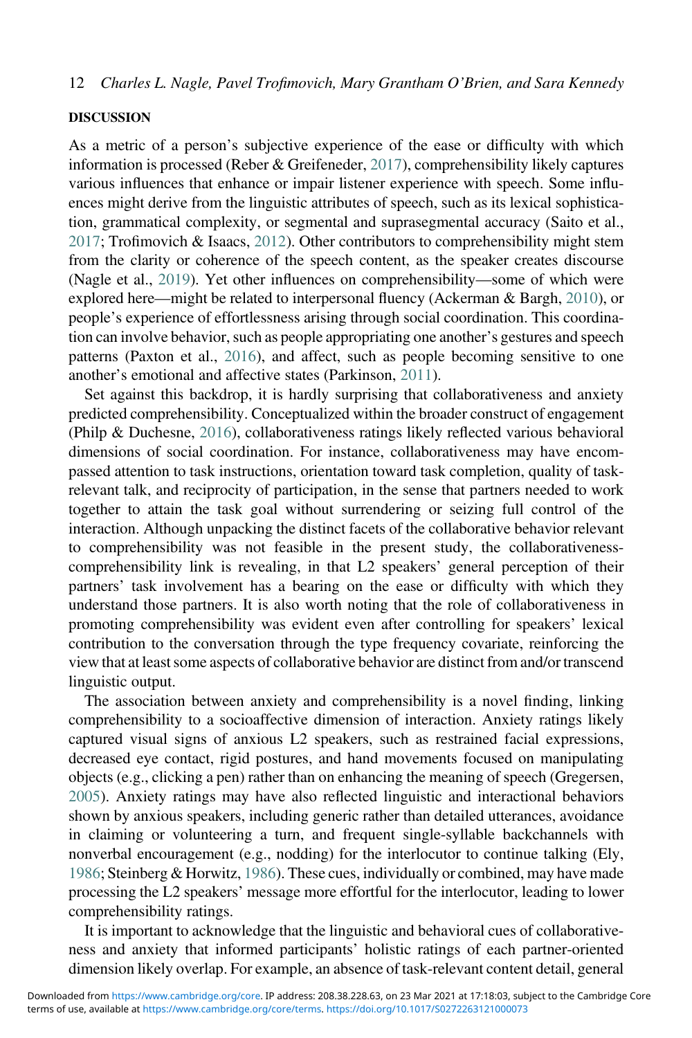#### DISCUSSION

As a metric of a person's subjective experience of the ease or difficulty with which information is processed (Reber & Greifeneder, [2017](#page-15-6)), comprehensibility likely captures various influences that enhance or impair listener experience with speech. Some influences might derive from the linguistic attributes of speech, such as its lexical sophistication, grammatical complexity, or segmental and suprasegmental accuracy (Saito et al., [2017;](#page-15-0) Trofimovich & Isaacs, [2012\)](#page-15-1). Other contributors to comprehensibility might stem from the clarity or coherence of the speech content, as the speaker creates discourse (Nagle et al., [2019\)](#page-14-2). Yet other influences on comprehensibility—some of which were explored here—might be related to interpersonal fluency (Ackerman & Bargh, [2010](#page-13-7)), or people's experience of effortlessness arising through social coordination. This coordination can involve behavior, such as people appropriating one another's gestures and speech patterns (Paxton et al., [2016\)](#page-14-17), and affect, such as people becoming sensitive to one another's emotional and affective states (Parkinson, [2011\)](#page-14-18).

Set against this backdrop, it is hardly surprising that collaborativeness and anxiety predicted comprehensibility. Conceptualized within the broader construct of engagement (Philp & Duchesne, [2016\)](#page-14-7), collaborativeness ratings likely reflected various behavioral dimensions of social coordination. For instance, collaborativeness may have encompassed attention to task instructions, orientation toward task completion, quality of taskrelevant talk, and reciprocity of participation, in the sense that partners needed to work together to attain the task goal without surrendering or seizing full control of the interaction. Although unpacking the distinct facets of the collaborative behavior relevant to comprehensibility was not feasible in the present study, the collaborativenesscomprehensibility link is revealing, in that L2 speakers' general perception of their partners' task involvement has a bearing on the ease or difficulty with which they understand those partners. It is also worth noting that the role of collaborativeness in promoting comprehensibility was evident even after controlling for speakers' lexical contribution to the conversation through the type frequency covariate, reinforcing the view that at least some aspects of collaborative behavior are distinct from and/or transcend linguistic output.

The association between anxiety and comprehensibility is a novel finding, linking comprehensibility to a socioaffective dimension of interaction. Anxiety ratings likely captured visual signs of anxious L2 speakers, such as restrained facial expressions, decreased eye contact, rigid postures, and hand movements focused on manipulating objects (e.g., clicking a pen) rather than on enhancing the meaning of speech (Gregersen, [2005\)](#page-14-19). Anxiety ratings may have also reflected linguistic and interactional behaviors shown by anxious speakers, including generic rather than detailed utterances, avoidance in claiming or volunteering a turn, and frequent single-syllable backchannels with nonverbal encouragement (e.g., nodding) for the interlocutor to continue talking (Ely, [1986;](#page-14-20) Steinberg & Horwitz, [1986](#page-15-7)). These cues, individually or combined, may have made processing the L2 speakers' message more effortful for the interlocutor, leading to lower comprehensibility ratings.

It is important to acknowledge that the linguistic and behavioral cues of collaborativeness and anxiety that informed participants' holistic ratings of each partner-oriented dimension likely overlap. For example, an absence of task-relevant content detail, general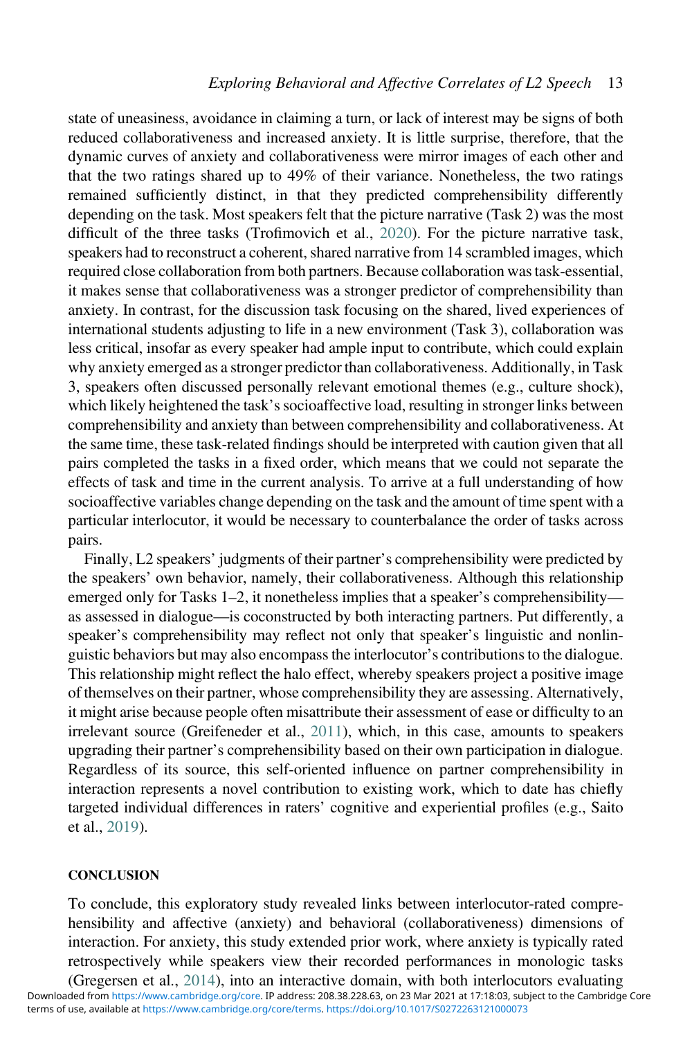state of uneasiness, avoidance in claiming a turn, or lack of interest may be signs of both reduced collaborativeness and increased anxiety. It is little surprise, therefore, that the dynamic curves of anxiety and collaborativeness were mirror images of each other and that the two ratings shared up to 49% of their variance. Nonetheless, the two ratings remained sufficiently distinct, in that they predicted comprehensibility differently depending on the task. Most speakers felt that the picture narrative (Task 2) was the most difficult of the three tasks (Trofimovich et al., [2020](#page-15-2)). For the picture narrative task, speakers had to reconstruct a coherent, shared narrative from 14 scrambled images, which required close collaboration from both partners. Because collaboration was task-essential, it makes sense that collaborativeness was a stronger predictor of comprehensibility than anxiety. In contrast, for the discussion task focusing on the shared, lived experiences of international students adjusting to life in a new environment (Task 3), collaboration was less critical, insofar as every speaker had ample input to contribute, which could explain why anxiety emerged as a stronger predictor than collaborativeness. Additionally, in Task 3, speakers often discussed personally relevant emotional themes (e.g., culture shock), which likely heightened the task's socioaffective load, resulting in stronger links between comprehensibility and anxiety than between comprehensibility and collaborativeness. At the same time, these task-related findings should be interpreted with caution given that all pairs completed the tasks in a fixed order, which means that we could not separate the effects of task and time in the current analysis. To arrive at a full understanding of how socioaffective variables change depending on the task and the amount of time spent with a particular interlocutor, it would be necessary to counterbalance the order of tasks across pairs.

Finally, L2 speakers' judgments of their partner's comprehensibility were predicted by the speakers' own behavior, namely, their collaborativeness. Although this relationship emerged only for Tasks 1–2, it nonetheless implies that a speaker's comprehensibility as assessed in dialogue—is coconstructed by both interacting partners. Put differently, a speaker's comprehensibility may reflect not only that speaker's linguistic and nonlinguistic behaviors but may also encompass the interlocutor's contributions to the dialogue. This relationship might reflect the halo effect, whereby speakers project a positive image of themselves on their partner, whose comprehensibility they are assessing. Alternatively, it might arise because people often misattribute their assessment of ease or difficulty to an irrelevant source (Greifeneder et al., [2011\)](#page-14-21), which, in this case, amounts to speakers upgrading their partner's comprehensibility based on their own participation in dialogue. Regardless of its source, this self-oriented influence on partner comprehensibility in interaction represents a novel contribution to existing work, which to date has chiefly targeted individual differences in raters' cognitive and experiential profiles (e.g., Saito et al., [2019\)](#page-15-8).

#### **CONCLUSION**

To conclude, this exploratory study revealed links between interlocutor-rated comprehensibility and affective (anxiety) and behavioral (collaborativeness) dimensions of interaction. For anxiety, this study extended prior work, where anxiety is typically rated retrospectively while speakers view their recorded performances in monologic tasks

(Gregersen et al., [2014\)](#page-14-6), into an interactive domain, with both interlocutors evaluating terms of use, available at [https://www.cambridge.org/core/terms.](https://www.cambridge.org/core/terms) <https://doi.org/10.1017/S0272263121000073> Downloaded from [https://www.cambridge.org/core.](https://www.cambridge.org/core) IP address: 208.38.228.63, on 23 Mar 2021 at 17:18:03, subject to the Cambridge Core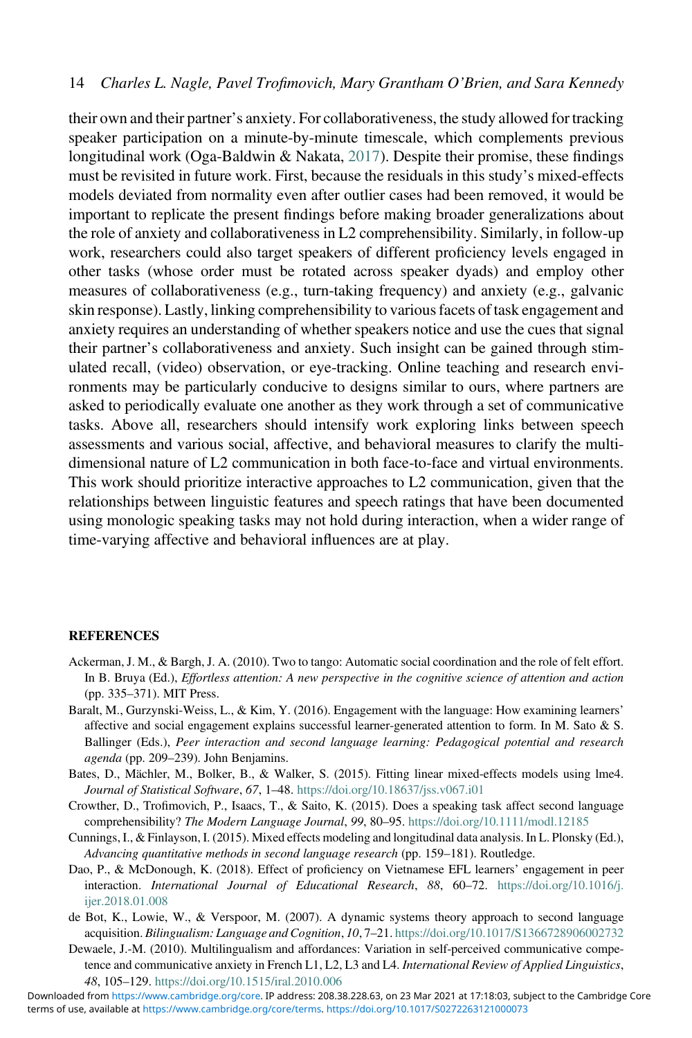their own and their partner's anxiety. For collaborativeness, the study allowed for tracking speaker participation on a minute-by-minute timescale, which complements previous longitudinal work (Oga-Baldwin & Nakata, [2017](#page-14-22)). Despite their promise, these findings must be revisited in future work. First, because the residuals in this study's mixed-effects models deviated from normality even after outlier cases had been removed, it would be important to replicate the present findings before making broader generalizations about the role of anxiety and collaborativeness in L2 comprehensibility. Similarly, in follow-up work, researchers could also target speakers of different proficiency levels engaged in other tasks (whose order must be rotated across speaker dyads) and employ other measures of collaborativeness (e.g., turn-taking frequency) and anxiety (e.g., galvanic skin response). Lastly, linking comprehensibility to various facets of task engagement and anxiety requires an understanding of whether speakers notice and use the cues that signal their partner's collaborativeness and anxiety. Such insight can be gained through stimulated recall, (video) observation, or eye-tracking. Online teaching and research environments may be particularly conducive to designs similar to ours, where partners are asked to periodically evaluate one another as they work through a set of communicative tasks. Above all, researchers should intensify work exploring links between speech assessments and various social, affective, and behavioral measures to clarify the multidimensional nature of L2 communication in both face-to-face and virtual environments. This work should prioritize interactive approaches to L2 communication, given that the relationships between linguistic features and speech ratings that have been documented using monologic speaking tasks may not hold during interaction, when a wider range of time-varying affective and behavioral influences are at play.

#### <span id="page-13-7"></span>**REFERENCES**

- <span id="page-13-4"></span>Ackerman, J. M., & Bargh, J. A. (2010). Two to tango: Automatic social coordination and the role of felt effort. In B. Bruya (Ed.), Effortless attention: A new perspective in the cognitive science of attention and action (pp. 335–371). MIT Press.
- <span id="page-13-6"></span>Baralt, M., Gurzynski-Weiss, L., & Kim, Y. (2016). Engagement with the language: How examining learners' affective and social engagement explains successful learner-generated attention to form. In M. Sato & S. Ballinger (Eds.), Peer interaction and second language learning: Pedagogical potential and research agenda (pp. 209–239). John Benjamins.
- <span id="page-13-0"></span>Bates, D., Mächler, M., Bolker, B., & Walker, S. (2015). Fitting linear mixed-effects models using lme4. Journal of Statistical Software, 67, 1–48. <https://doi.org/10.18637/jss.v067.i01>
- <span id="page-13-5"></span>Crowther, D., Trofimovich, P., Isaacs, T., & Saito, K. (2015). Does a speaking task affect second language comprehensibility? The Modern Language Journal, 99, 80-95. <https://doi.org/10.1111/modl.12185>
- <span id="page-13-3"></span>Cunnings, I., & Finlayson, I. (2015). Mixed effects modeling and longitudinal data analysis. In L. Plonsky (Ed.), Advancing quantitative methods in second language research (pp. 159–181). Routledge.
- <span id="page-13-1"></span>Dao, P., & McDonough, K. (2018). Effect of proficiency on Vietnamese EFL learners' engagement in peer interaction. International Journal of Educational Research, 88, 60–72. [https://doi.org/10.1016/j.](https://doi.org/10.1016/j.ijer.2018.01.008) [ijer.2018.01.008](https://doi.org/10.1016/j.ijer.2018.01.008)
- <span id="page-13-2"></span>de Bot, K., Lowie, W., & Verspoor, M. (2007). A dynamic systems theory approach to second language acquisition. Bilingualism: Language and Cognition, 10, 7-21. <https://doi.org/10.1017/S1366728906002732>
- Dewaele, J.-M. (2010). Multilingualism and affordances: Variation in self-perceived communicative competence and communicative anxiety in French L1, L2, L3 and L4. International Review of Applied Linguistics, 48, 105–129. <https://doi.org/10.1515/iral.2010.006>

terms of use, available at [https://www.cambridge.org/core/terms.](https://www.cambridge.org/core/terms) <https://doi.org/10.1017/S0272263121000073> Downloaded from [https://www.cambridge.org/core.](https://www.cambridge.org/core) IP address: 208.38.228.63, on 23 Mar 2021 at 17:18:03, subject to the Cambridge Core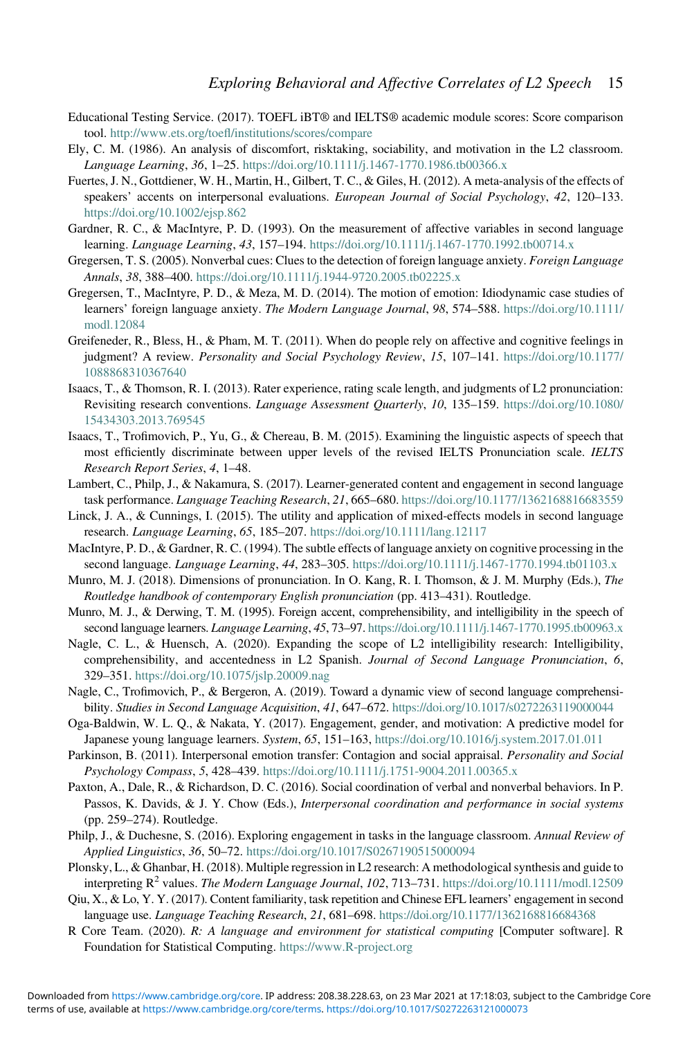- <span id="page-14-10"></span>Educational Testing Service. (2017). TOEFL iBT® and IELTS® academic module scores: Score comparison tool. http://www.ets.org/toefl[/institutions/scores/compare](http://www.ets.org/toefl/institutions/scores/compare)
- <span id="page-14-20"></span>Ely, C. M. (1986). An analysis of discomfort, risktaking, sociability, and motivation in the L2 classroom. Language Learning, 36, 1-25. <https://doi.org/10.1111/j.1467-1770.1986.tb00366.x>
- <span id="page-14-3"></span>Fuertes, J. N., Gottdiener, W. H., Martin, H., Gilbert, T. C., & Giles, H. (2012). A meta-analysis of the effects of speakers' accents on interpersonal evaluations. European Journal of Social Psychology, 42, 120–133. <https://doi.org/10.1002/ejsp.862>
- <span id="page-14-4"></span>Gardner, R. C., & MacIntyre, P. D. (1993). On the measurement of affective variables in second language learning. *Language Learning*, 43, 157–194. <https://doi.org/10.1111/j.1467-1770.1992.tb00714.x>
- <span id="page-14-19"></span>Gregersen, T. S. (2005). Nonverbal cues: Clues to the detection of foreign language anxiety. Foreign Language Annals, 38, 388–400. <https://doi.org/10.1111/j.1944-9720.2005.tb02225.x>
- <span id="page-14-6"></span>Gregersen, T., MacIntyre, P. D., & Meza, M. D. (2014). The motion of emotion: Idiodynamic case studies of learners' foreign language anxiety. The Modern Language Journal, 98, 574–588. [https://doi.org/10.1111/](https://doi.org/10.1111/modl.12084) [modl.12084](https://doi.org/10.1111/modl.12084)
- <span id="page-14-21"></span>Greifeneder, R., Bless, H., & Pham, M. T. (2011). When do people rely on affective and cognitive feelings in judgment? A review. Personality and Social Psychology Review, 15, 107–141. [https://doi.org/10.1177/](https://doi.org/10.1177/1088868310367640) [1088868310367640](https://doi.org/10.1177/1088868310367640)
- <span id="page-14-12"></span>Isaacs, T., & Thomson, R. I. (2013). Rater experience, rating scale length, and judgments of L2 pronunciation: Revisiting research conventions. Language Assessment Quarterly, 10, 135–159. [https://doi.org/10.1080/](https://doi.org/10.1080/15434303.2013.769545) [15434303.2013.769545](https://doi.org/10.1080/15434303.2013.769545)
- <span id="page-14-11"></span>Isaacs, T., Trofimovich, P., Yu, G., & Chereau, B. M. (2015). Examining the linguistic aspects of speech that most efficiently discriminate between upper levels of the revised IELTS Pronunciation scale. IELTS Research Report Series, 4, 1–48.
- <span id="page-14-9"></span>Lambert, C., Philp, J., & Nakamura, S. (2017). Learner-generated content and engagement in second language task performance. Language Teaching Research, 21, 665-680. <https://doi.org/10.1177/1362168816683559>
- <span id="page-14-14"></span>Linck, J. A., & Cunnings, I. (2015). The utility and application of mixed-effects models in second language research. Language Learning, 65, 185–207. <https://doi.org/10.1111/lang.12117>
- <span id="page-14-5"></span>MacIntyre, P. D., & Gardner, R. C. (1994). The subtle effects of language anxiety on cognitive processing in the second language. *Language Learning*, 44, 283–305. <https://doi.org/10.1111/j.1467-1770.1994.tb01103.x>
- <span id="page-14-13"></span>Munro, M. J. (2018). Dimensions of pronunciation. In O. Kang, R. I. Thomson, & J. M. Murphy (Eds.), The Routledge handbook of contemporary English pronunciation (pp. 413–431). Routledge.
- <span id="page-14-0"></span>Munro, M. J., & Derwing, T. M. (1995). Foreign accent, comprehensibility, and intelligibility in the speech of second language learners. Language Learning, 45, 73–97. <https://doi.org/10.1111/j.1467-1770.1995.tb00963.x>
- <span id="page-14-1"></span>Nagle, C. L., & Huensch, A. (2020). Expanding the scope of L2 intelligibility research: Intelligibility, comprehensibility, and accentedness in L2 Spanish. Journal of Second Language Pronunciation, 6, 329–351. <https://doi.org/10.1075/jslp.20009.nag>
- <span id="page-14-2"></span>Nagle, C., Trofimovich, P., & Bergeron, A. (2019). Toward a dynamic view of second language comprehensibility. Studies in Second Language Acquisition, 41, 647–672. <https://doi.org/10.1017/s0272263119000044>
- <span id="page-14-22"></span>Oga-Baldwin, W. L. Q., & Nakata, Y. (2017). Engagement, gender, and motivation: A predictive model for Japanese young language learners. System, 65, 151–163, <https://doi.org/10.1016/j.system.2017.01.011>
- <span id="page-14-18"></span>Parkinson, B. (2011). Interpersonal emotion transfer: Contagion and social appraisal. Personality and Social Psychology Compass, 5, 428–439. <https://doi.org/10.1111/j.1751-9004.2011.00365.x>
- <span id="page-14-17"></span>Paxton, A., Dale, R., & Richardson, D. C. (2016). Social coordination of verbal and nonverbal behaviors. In P. Passos, K. Davids, & J. Y. Chow (Eds.), Interpersonal coordination and performance in social systems (pp. 259–274). Routledge.
- <span id="page-14-7"></span>Philp, J., & Duchesne, S. (2016). Exploring engagement in tasks in the language classroom. Annual Review of Applied Linguistics, 36, 50–72. <https://doi.org/10.1017/S0267190515000094>
- <span id="page-14-16"></span>Plonsky, L., & Ghanbar, H. (2018). Multiple regression in L2 research: A methodological synthesis and guide to interpreting  $\mathbb{R}^2$  values. The Modern Language Journal, 102, 713–731. <https://doi.org/10.1111/modl.12509>
- <span id="page-14-8"></span>Qiu, X., & Lo, Y. Y. (2017). Content familiarity, task repetition and Chinese EFL learners' engagement in second language use. Language Teaching Research, 21, 681–698. <https://doi.org/10.1177/1362168816684368>
- <span id="page-14-15"></span>R Core Team. (2020). R: A language and environment for statistical computing [Computer software]. R Foundation for Statistical Computing. <https://www.R-project.org>